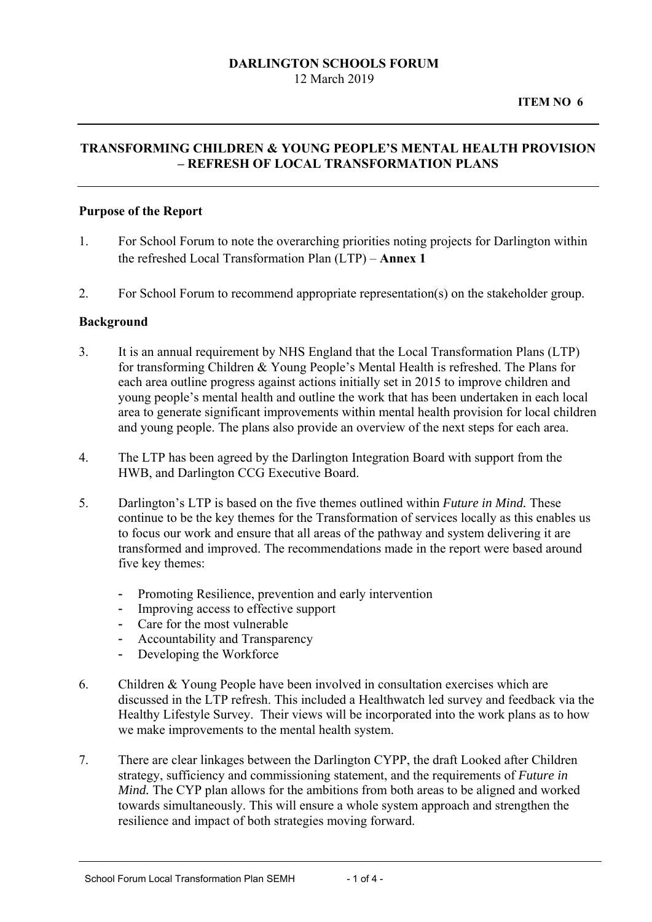### **DARLINGTON SCHOOLS FORUM** 12 March 2019

## **TRANSFORMING CHILDREN & YOUNG PEOPLE'S MENTAL HEALTH PROVISION – REFRESH OF LOCAL TRANSFORMATION PLANS**

#### **Purpose of the Report**

- the refreshed Local Transformation Plan (LTP) **Annex 1** 1. For School Forum to note the overarching priorities noting projects for Darlington within
- 2. For School Forum to recommend appropriate representation(s) on the stakeholder group.

### **Background**

- 3. It is an annual requirement by NHS England that the Local Transformation Plans (LTP) for transforming Children & Young People's Mental Health is refreshed. The Plans for each area outline progress against actions initially set in 2015 to improve children and young people's mental health and outline the work that has been undertaken in each local area to generate significant improvements within mental health provision for local children and young people. The plans also provide an overview of the next steps for each area.
- 4. The LTP has been agreed by the Darlington Integration Board with support from the HWB, and Darlington CCG Executive Board.
- 5. Darlington's LTP is based on the five themes outlined within *Future in Mind.* These continue to be the key themes for the Transformation of services locally as this enables us to focus our work and ensure that all areas of the pathway and system delivering it are transformed and improved. The recommendations made in the report were based around five key themes:
	- Promoting Resilience, prevention and early intervention
	- Improving access to effective support
	- Care for the most vulnerable
	- Accountability and Transparency
	- Developing the Workforce
- 6. Children & Young People have been involved in consultation exercises which are discussed in the LTP refresh. This included a Healthwatch led survey and feedback via the Healthy Lifestyle Survey. Their views will be incorporated into the work plans as to how we make improvements to the mental health system.
- 7. There are clear linkages between the Darlington CYPP, the draft Looked after Children strategy, sufficiency and commissioning statement, and the requirements of *Future in Mind.* The CYP plan allows for the ambitions from both areas to be aligned and worked towards simultaneously. This will ensure a whole system approach and strengthen the resilience and impact of both strategies moving forward.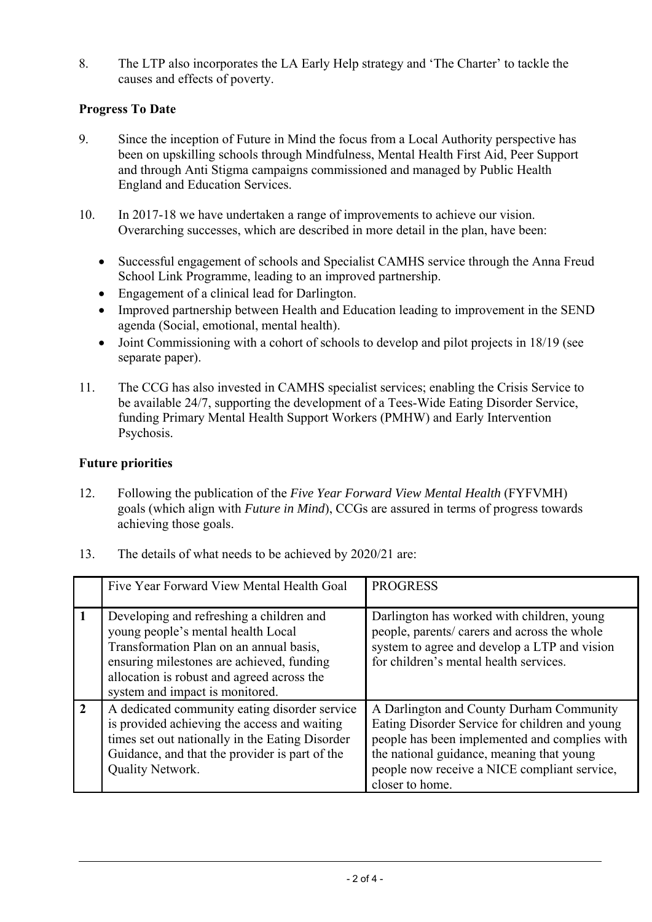8. The LTP also incorporates the LA Early Help strategy and 'The Charter' to tackle the causes and effects of poverty.

# **Progress To Date**

- 9. Since the inception of Future in Mind the focus from a Local Authority perspective has been on upskilling schools through Mindfulness, Mental Health First Aid, Peer Support and through Anti Stigma campaigns commissioned and managed by Public Health England and Education Services.
- 10. In 2017-18 we have undertaken a range of improvements to achieve our vision. Overarching successes, which are described in more detail in the plan, have been:
	- Successful engagement of schools and Specialist CAMHS service through the Anna Freud School Link Programme, leading to an improved partnership.
	- Engagement of a clinical lead for Darlington.
	- Improved partnership between Health and Education leading to improvement in the SEND agenda (Social, emotional, mental health).
	- Joint Commissioning with a cohort of schools to develop and pilot projects in 18/19 (see separate paper).
- 11. The CCG has also invested in CAMHS specialist services; enabling the Crisis Service to be available 24/7, supporting the development of a Tees-Wide Eating Disorder Service, funding Primary Mental Health Support Workers (PMHW) and Early Intervention Psychosis.

## **Future priorities**

- 12. Following the publication of the *Five Year Forward View Mental Health* (FYFVMH) goals (which align with *Future in Mind*), CCGs are assured in terms of progress towards achieving those goals.
- 13. The details of what needs to be achieved by 2020/21 are:

|                | Five Year Forward View Mental Health Goal                                                                                                                                                                                                               | <b>PROGRESS</b>                                                                                                                                                                                                                                             |
|----------------|---------------------------------------------------------------------------------------------------------------------------------------------------------------------------------------------------------------------------------------------------------|-------------------------------------------------------------------------------------------------------------------------------------------------------------------------------------------------------------------------------------------------------------|
|                | Developing and refreshing a children and<br>young people's mental health Local<br>Transformation Plan on an annual basis,<br>ensuring milestones are achieved, funding<br>allocation is robust and agreed across the<br>system and impact is monitored. | Darlington has worked with children, young<br>people, parents/ carers and across the whole<br>system to agree and develop a LTP and vision<br>for children's mental health services.                                                                        |
| $\overline{2}$ | A dedicated community eating disorder service<br>is provided achieving the access and waiting<br>times set out nationally in the Eating Disorder<br>Guidance, and that the provider is part of the<br>Quality Network.                                  | A Darlington and County Durham Community<br>Eating Disorder Service for children and young<br>people has been implemented and complies with<br>the national guidance, meaning that young<br>people now receive a NICE compliant service,<br>closer to home. |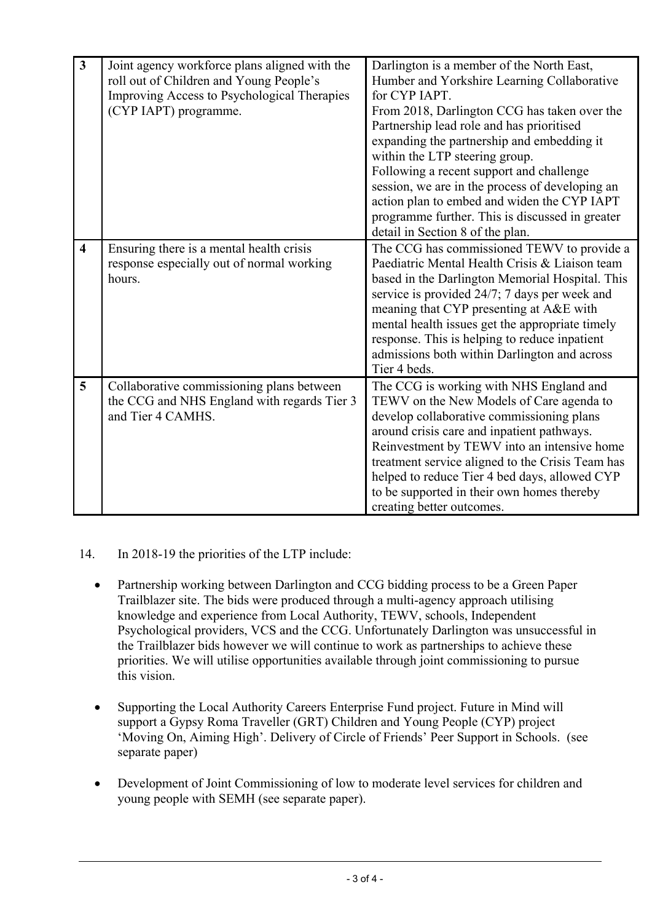| $\mathbf{3}$            | Joint agency workforce plans aligned with the<br>roll out of Children and Young People's<br>Improving Access to Psychological Therapies<br>(CYP IAPT) programme. | Darlington is a member of the North East,<br>Humber and Yorkshire Learning Collaborative<br>for CYP IAPT.<br>From 2018, Darlington CCG has taken over the<br>Partnership lead role and has prioritised<br>expanding the partnership and embedding it<br>within the LTP steering group.<br>Following a recent support and challenge<br>session, we are in the process of developing an<br>action plan to embed and widen the CYP IAPT<br>programme further. This is discussed in greater<br>detail in Section 8 of the plan. |
|-------------------------|------------------------------------------------------------------------------------------------------------------------------------------------------------------|-----------------------------------------------------------------------------------------------------------------------------------------------------------------------------------------------------------------------------------------------------------------------------------------------------------------------------------------------------------------------------------------------------------------------------------------------------------------------------------------------------------------------------|
| $\overline{\mathbf{4}}$ | Ensuring there is a mental health crisis<br>response especially out of normal working<br>hours.                                                                  | The CCG has commissioned TEWV to provide a<br>Paediatric Mental Health Crisis & Liaison team<br>based in the Darlington Memorial Hospital. This<br>service is provided 24/7; 7 days per week and<br>meaning that CYP presenting at A&E with<br>mental health issues get the appropriate timely<br>response. This is helping to reduce inpatient<br>admissions both within Darlington and across<br>Tier 4 beds.                                                                                                             |
| 5                       | Collaborative commissioning plans between<br>the CCG and NHS England with regards Tier 3<br>and Tier 4 CAMHS.                                                    | The CCG is working with NHS England and<br>TEWV on the New Models of Care agenda to<br>develop collaborative commissioning plans<br>around crisis care and inpatient pathways.<br>Reinvestment by TEWV into an intensive home<br>treatment service aligned to the Crisis Team has<br>helped to reduce Tier 4 bed days, allowed CYP<br>to be supported in their own homes thereby<br>creating better outcomes.                                                                                                               |

## 14. In 2018-19 the priorities of the LTP include:

- Partnership working between Darlington and CCG bidding process to be a Green Paper Trailblazer site. The bids were produced through a multi-agency approach utilising knowledge and experience from Local Authority, TEWV, schools, Independent Psychological providers, VCS and the CCG. Unfortunately Darlington was unsuccessful in the Trailblazer bids however we will continue to work as partnerships to achieve these priorities. We will utilise opportunities available through joint commissioning to pursue this vision.
- Supporting the Local Authority Careers Enterprise Fund project. Future in Mind will support a Gypsy Roma Traveller (GRT) Children and Young People (CYP) project 'Moving On, Aiming High'. Delivery of Circle of Friends' Peer Support in Schools. (see separate paper)
- Development of Joint Commissioning of low to moderate level services for children and young people with SEMH (see separate paper).